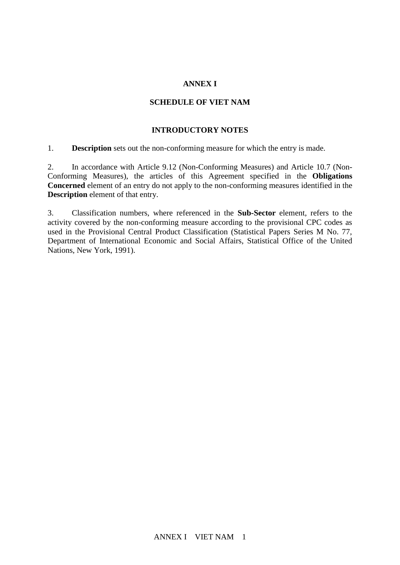## **ANNEX I**

## **SCHEDULE OF VIET NAM**

## **INTRODUCTORY NOTES**

1. **Description** sets out the non-conforming measure for which the entry is made.

2. In accordance with Article 9.12 (Non-Conforming Measures) and Article 10.7 (Non-Conforming Measures), the articles of this Agreement specified in the **Obligations Concerned** element of an entry do not apply to the non-conforming measures identified in the **Description** element of that entry.

3. Classification numbers, where referenced in the **Sub-Sector** element, refers to the activity covered by the non-conforming measure according to the provisional CPC codes as used in the Provisional Central Product Classification (Statistical Papers Series M No. 77, Department of International Economic and Social Affairs, Statistical Office of the United Nations, New York, 1991).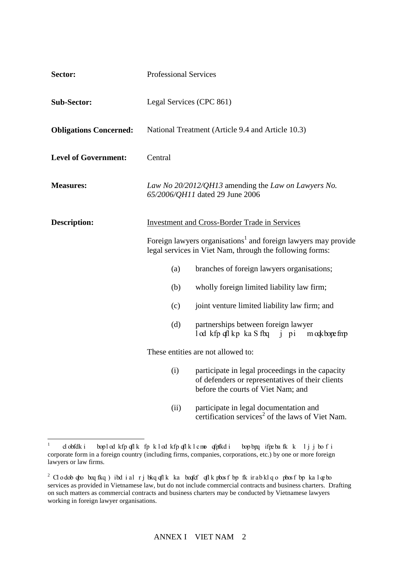| Sector:                       | <b>Professional Services</b>                                                                                                                                                                                                                        |                                                                                                                                            |  |
|-------------------------------|-----------------------------------------------------------------------------------------------------------------------------------------------------------------------------------------------------------------------------------------------------|--------------------------------------------------------------------------------------------------------------------------------------------|--|
| <b>Sub-Sector:</b>            | Legal Services (CPC 861)                                                                                                                                                                                                                            |                                                                                                                                            |  |
| <b>Obligations Concerned:</b> |                                                                                                                                                                                                                                                     | National Treatment (Article 9.4 and Article 10.3)                                                                                          |  |
| <b>Level of Government:</b>   | Central                                                                                                                                                                                                                                             |                                                                                                                                            |  |
| <b>Measures:</b>              |                                                                                                                                                                                                                                                     | Law No 20/2012/QH13 amending the Law on Lawyers No.<br>65/2006/QH11 dated 29 June 2006                                                     |  |
| <b>Description:</b>           | <b>Investment and Cross-Border Trade in Services</b><br>Foreign lawyers organisations <sup>1</sup> and foreign lawyers may provide<br>legal services in Viet Nam, through the following forms:<br>branches of foreign lawyers organisations;<br>(a) |                                                                                                                                            |  |
|                               |                                                                                                                                                                                                                                                     |                                                                                                                                            |  |
|                               | (b)                                                                                                                                                                                                                                                 | wholly foreign limited liability law firm;                                                                                                 |  |
|                               | (c)                                                                                                                                                                                                                                                 | joint venture limited liability law firm; and                                                                                              |  |
|                               | (d)                                                                                                                                                                                                                                                 | partnerships between foreign lawyer<br>l od kfp qfl kp ka S fbq j pi m odkbope fmp                                                         |  |
|                               |                                                                                                                                                                                                                                                     | These entities are not allowed to:                                                                                                         |  |
|                               | (i)                                                                                                                                                                                                                                                 | participate in legal proceedings in the capacity<br>of defenders or representatives of their clients<br>before the courts of Viet Nam; and |  |
|                               | (ii)                                                                                                                                                                                                                                                | participate in legal documentation and<br>certification services <sup>2</sup> of the laws of Viet Nam.                                     |  |

 $\frac{1}{1}$ d obfdk i boplod kfp qflk fp klod kfp qflk lamo qfpfkd i bopbpq ifpebafk k ljjbo fi corporate form in a foreign country (including firms, companies, corporations, etc.) by one or more foreign lawyers or law firms.

 $^2$  Clodobopto beqfkq) ibd ial rjbkqoflk ka beofef oflk pbosfbp fk irabklqo pbosfbp kaloepbo services as provided in Vietnamese law, but do not include commercial contracts and business charters. Drafting on such matters as commercial contracts and business charters may be conducted by Vietnamese lawyers working in foreign lawyer organisations.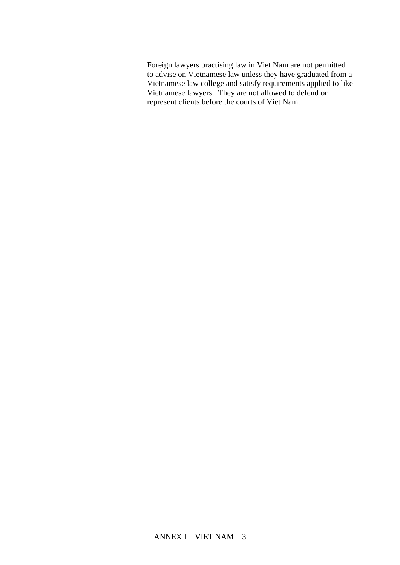Foreign lawyers practising law in Viet Nam are not permitted to advise on Vietnamese law unless they have graduated from a Vietnamese law college and satisfy requirements applied to like Vietnamese lawyers. They are not allowed to defend or represent clients before the courts of Viet Nam.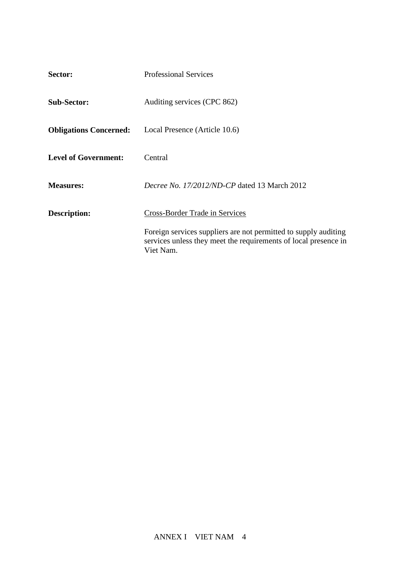| Sector:                       | <b>Professional Services</b>                                                                                                                    |
|-------------------------------|-------------------------------------------------------------------------------------------------------------------------------------------------|
| <b>Sub-Sector:</b>            | Auditing services (CPC 862)                                                                                                                     |
| <b>Obligations Concerned:</b> | Local Presence (Article 10.6)                                                                                                                   |
| <b>Level of Government:</b>   | Central                                                                                                                                         |
| <b>Measures:</b>              | <i>Decree No. 17/2012/ND-CP</i> dated 13 March 2012                                                                                             |
| <b>Description:</b>           | Cross-Border Trade in Services                                                                                                                  |
|                               | Foreign services suppliers are not permitted to supply auditing<br>services unless they meet the requirements of local presence in<br>Viet Nam. |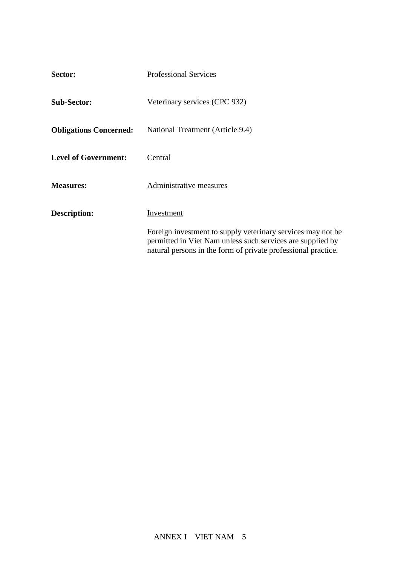| Sector:                       | <b>Professional Services</b>                                                                                                                                                                |
|-------------------------------|---------------------------------------------------------------------------------------------------------------------------------------------------------------------------------------------|
| <b>Sub-Sector:</b>            | Veterinary services (CPC 932)                                                                                                                                                               |
| <b>Obligations Concerned:</b> | National Treatment (Article 9.4)                                                                                                                                                            |
| <b>Level of Government:</b>   | Central                                                                                                                                                                                     |
| <b>Measures:</b>              | Administrative measures                                                                                                                                                                     |
| Description:                  | Investment                                                                                                                                                                                  |
|                               | Foreign investment to supply veterinary services may not be.<br>permitted in Viet Nam unless such services are supplied by<br>natural persons in the form of private professional practice. |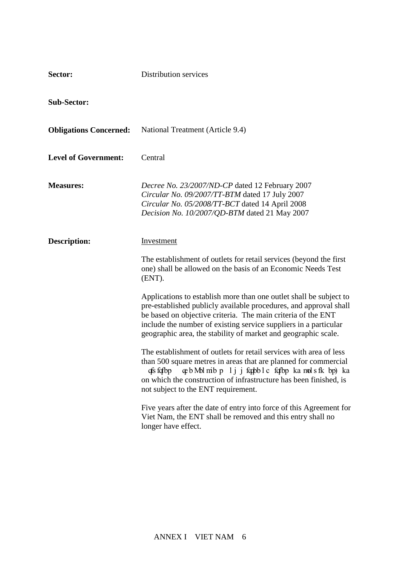| Sector:                       | Distribution services                                                                                                                                                                                                                                                                                                                         |
|-------------------------------|-----------------------------------------------------------------------------------------------------------------------------------------------------------------------------------------------------------------------------------------------------------------------------------------------------------------------------------------------|
| <b>Sub-Sector:</b>            |                                                                                                                                                                                                                                                                                                                                               |
| <b>Obligations Concerned:</b> | National Treatment (Article 9.4)                                                                                                                                                                                                                                                                                                              |
| <b>Level of Government:</b>   | Central                                                                                                                                                                                                                                                                                                                                       |
| <b>Measures:</b>              | Decree No. 23/2007/ND-CP dated 12 February 2007<br>Circular No. 09/2007/TT-BTM dated 17 July 2007<br>Circular No. 05/2008/TT-BCT dated 14 April 2008<br>Decision No. 10/2007/QD-BTM dated 21 May 2007                                                                                                                                         |
| <b>Description:</b>           | Investment                                                                                                                                                                                                                                                                                                                                    |
|                               | The establishment of outlets for retail services (beyond the first<br>one) shall be allowed on the basis of an Economic Needs Test<br>(ENT).                                                                                                                                                                                                  |
|                               | Applications to establish more than one outlet shall be subject to<br>pre-established publicly available procedures, and approval shall<br>be based on objective criteria. The main criteria of the ENT<br>include the number of existing service suppliers in a particular<br>geographic area, the stability of market and geographic scale. |
|                               | The establishment of outlets for retail services with area of less<br>than 500 square metres in areas that are planned for commercial<br>qfs fqfbp qeb Mbl mib p lj j fqqbbl c fqfbp ka mols fk bp) ka<br>on which the construction of infrastructure has been finished, is<br>not subject to the ENT requirement.                            |
|                               | Five years after the date of entry into force of this Agreement for<br>Viet Nam, the ENT shall be removed and this entry shall no<br>longer have effect.                                                                                                                                                                                      |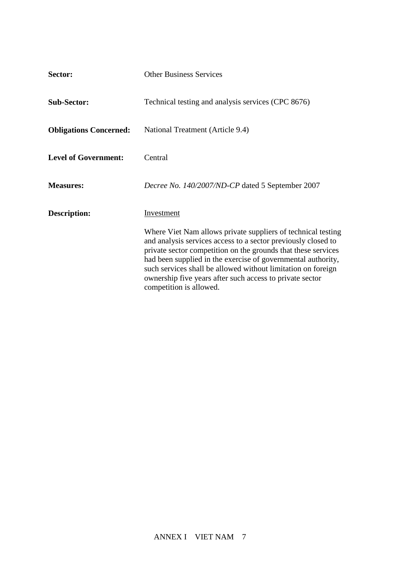| Sector:                       | <b>Other Business Services</b>                                                                                                                                                                                                                                                                                                                                                                                        |
|-------------------------------|-----------------------------------------------------------------------------------------------------------------------------------------------------------------------------------------------------------------------------------------------------------------------------------------------------------------------------------------------------------------------------------------------------------------------|
| <b>Sub-Sector:</b>            | Technical testing and analysis services (CPC 8676)                                                                                                                                                                                                                                                                                                                                                                    |
| <b>Obligations Concerned:</b> | National Treatment (Article 9.4)                                                                                                                                                                                                                                                                                                                                                                                      |
| <b>Level of Government:</b>   | Central                                                                                                                                                                                                                                                                                                                                                                                                               |
| <b>Measures:</b>              | Decree No. 140/2007/ND-CP dated 5 September 2007                                                                                                                                                                                                                                                                                                                                                                      |
| <b>Description:</b>           | Investment                                                                                                                                                                                                                                                                                                                                                                                                            |
|                               | Where Viet Nam allows private suppliers of technical testing<br>and analysis services access to a sector previously closed to<br>private sector competition on the grounds that these services<br>had been supplied in the exercise of governmental authority,<br>such services shall be allowed without limitation on foreign<br>ownership five years after such access to private sector<br>competition is allowed. |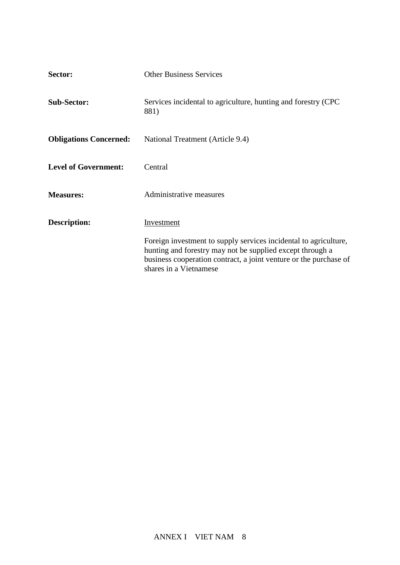| Sector:                       | <b>Other Business Services</b>                                                                                                                                                                                               |
|-------------------------------|------------------------------------------------------------------------------------------------------------------------------------------------------------------------------------------------------------------------------|
| <b>Sub-Sector:</b>            | Services incidental to agriculture, hunting and forestry (CPC<br>881)                                                                                                                                                        |
| <b>Obligations Concerned:</b> | National Treatment (Article 9.4)                                                                                                                                                                                             |
| <b>Level of Government:</b>   | Central                                                                                                                                                                                                                      |
| <b>Measures:</b>              | Administrative measures                                                                                                                                                                                                      |
| Description:                  | Investment                                                                                                                                                                                                                   |
|                               | Foreign investment to supply services incidental to agriculture,<br>hunting and forestry may not be supplied except through a<br>business cooperation contract, a joint venture or the purchase of<br>shares in a Vietnamese |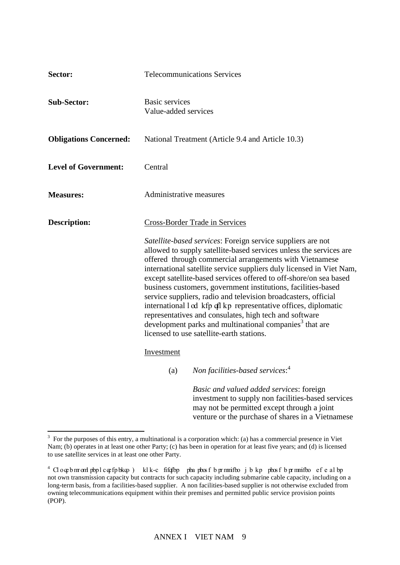| Sector:                       |                                                                                                                                                                                                                                                                                                                                                                                                                                                                                                                                                                                                                                                                                                                                                                        | <b>Telecommunications Services</b>                                                                                                                                                                 |
|-------------------------------|------------------------------------------------------------------------------------------------------------------------------------------------------------------------------------------------------------------------------------------------------------------------------------------------------------------------------------------------------------------------------------------------------------------------------------------------------------------------------------------------------------------------------------------------------------------------------------------------------------------------------------------------------------------------------------------------------------------------------------------------------------------------|----------------------------------------------------------------------------------------------------------------------------------------------------------------------------------------------------|
| <b>Sub-Sector:</b>            | Basic services<br>Value-added services                                                                                                                                                                                                                                                                                                                                                                                                                                                                                                                                                                                                                                                                                                                                 |                                                                                                                                                                                                    |
| <b>Obligations Concerned:</b> |                                                                                                                                                                                                                                                                                                                                                                                                                                                                                                                                                                                                                                                                                                                                                                        | National Treatment (Article 9.4 and Article 10.3)                                                                                                                                                  |
| <b>Level of Government:</b>   | Central                                                                                                                                                                                                                                                                                                                                                                                                                                                                                                                                                                                                                                                                                                                                                                |                                                                                                                                                                                                    |
| <b>Measures:</b>              | Administrative measures                                                                                                                                                                                                                                                                                                                                                                                                                                                                                                                                                                                                                                                                                                                                                |                                                                                                                                                                                                    |
| <b>Description:</b>           | <b>Cross-Border Trade in Services</b><br>Satellite-based services: Foreign service suppliers are not<br>allowed to supply satellite-based services unless the services are<br>offered through commercial arrangements with Vietnamese<br>international satellite service suppliers duly licensed in Viet Nam,<br>except satellite-based services offered to off-shore/on sea based<br>business customers, government institutions, facilities-based<br>service suppliers, radio and television broadcasters, official<br>international l cd kfp ql kp representative offices, diplomatic<br>representatives and consulates, high tech and software<br>development parks and multinational companies <sup>3</sup> that are<br>licensed to use satellite-earth stations. |                                                                                                                                                                                                    |
|                               | Investment                                                                                                                                                                                                                                                                                                                                                                                                                                                                                                                                                                                                                                                                                                                                                             |                                                                                                                                                                                                    |
|                               | (a)                                                                                                                                                                                                                                                                                                                                                                                                                                                                                                                                                                                                                                                                                                                                                                    | Non facilities-based services: <sup>4</sup>                                                                                                                                                        |
|                               |                                                                                                                                                                                                                                                                                                                                                                                                                                                                                                                                                                                                                                                                                                                                                                        | Basic and valued added services: foreign<br>investment to supply non facilities-based services<br>may not be permitted except through a joint<br>venture or the purchase of shares in a Vietnamese |

<sup>&</sup>lt;sup>3</sup> For the purposes of this entry, a multinational is a corporation which: (a) has a commercial presence in Viet Nam; (b) operates in at least one other Party; (c) has been in operation for at least five years; and (d) is licensed to use satellite services in at least one other Party.

 $^4$  Cloqebm contryinglent purposes of the purposes of the purposes in the purposes of the purposes of the purposes of the purposes of the purposes of the purposes of the purposes of the purposes of the purposes of the pu not own transmission capacity but contracts for such capacity including submarine cable capacity, including on a long-term basis, from a facilities-based supplier. A non facilities-based supplier is not otherwise excluded from owning telecommunications equipment within their premises and permitted public service provision points (POP).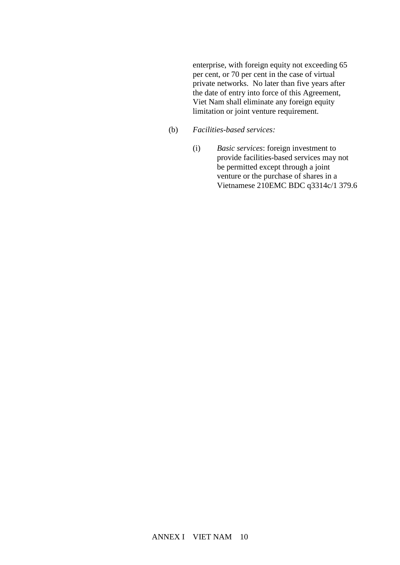enterprise, with foreign equity not exceeding 65 per cent, or 70 per cent in the case of virtual private networks. No later than five years after the date of entry into force of this Agreement, Viet Nam shall eliminate any foreign equity limitation or joint venture requirement.

- (b) *Facilities-based services:*
	- (i) *Basic services*: foreign investment to provide facilities-based services may not be permitted except through a joint venture or the purchase of shares in a Vietnamese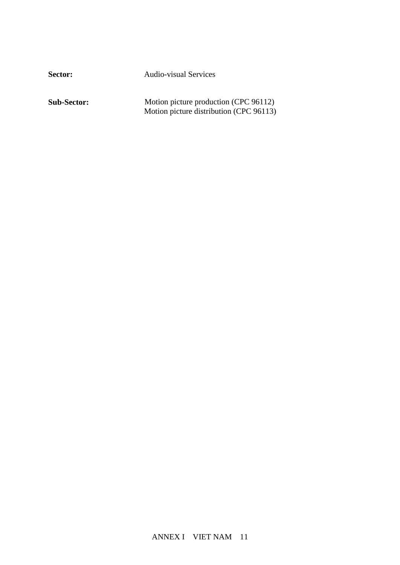Sector: Audio-visual Services

**Sub-Sector:** Motion picture production (CPC 96112) Motion picture distribution (CPC 96113)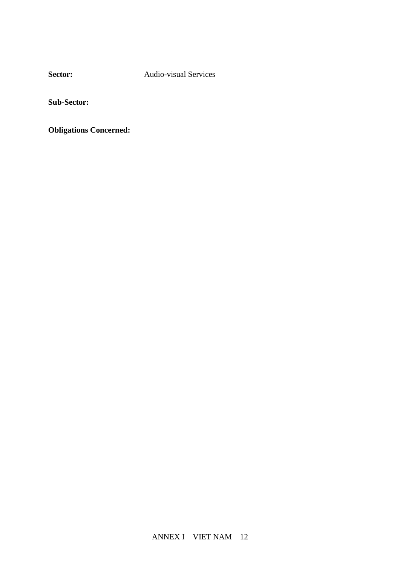**Sector:** Audio-visual Services

**Sub-Sector:**

**Obligations Concerned:**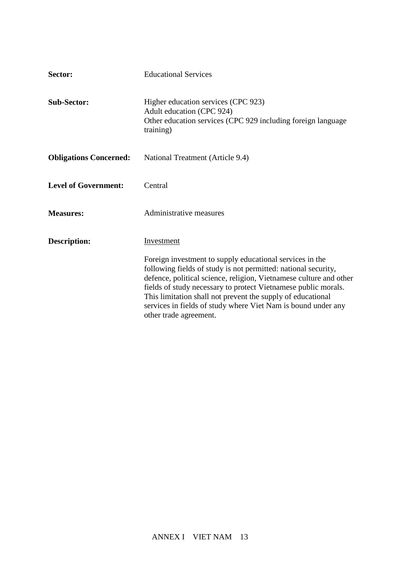| Sector:                       | <b>Educational Services</b>                                                                                                                                                                                                                                                                                                                                                                                                  |
|-------------------------------|------------------------------------------------------------------------------------------------------------------------------------------------------------------------------------------------------------------------------------------------------------------------------------------------------------------------------------------------------------------------------------------------------------------------------|
| <b>Sub-Sector:</b>            | Higher education services (CPC 923)<br>Adult education (CPC 924)<br>Other education services (CPC 929 including foreign language<br>training)                                                                                                                                                                                                                                                                                |
| <b>Obligations Concerned:</b> | National Treatment (Article 9.4)                                                                                                                                                                                                                                                                                                                                                                                             |
| <b>Level of Government:</b>   | Central                                                                                                                                                                                                                                                                                                                                                                                                                      |
| <b>Measures:</b>              | Administrative measures                                                                                                                                                                                                                                                                                                                                                                                                      |
| <b>Description:</b>           | Investment                                                                                                                                                                                                                                                                                                                                                                                                                   |
|                               | Foreign investment to supply educational services in the<br>following fields of study is not permitted: national security,<br>defence, political science, religion, Vietnamese culture and other<br>fields of study necessary to protect Vietnamese public morals.<br>This limitation shall not prevent the supply of educational<br>services in fields of study where Viet Nam is bound under any<br>other trade agreement. |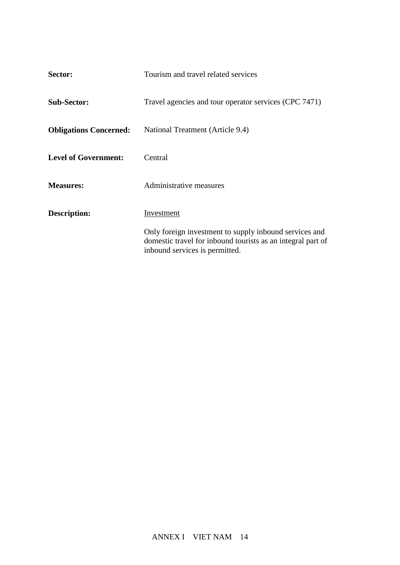| Sector:                       | Tourism and travel related services                                                                                                                     |
|-------------------------------|---------------------------------------------------------------------------------------------------------------------------------------------------------|
| <b>Sub-Sector:</b>            | Travel agencies and tour operator services (CPC 7471)                                                                                                   |
| <b>Obligations Concerned:</b> | National Treatment (Article 9.4)                                                                                                                        |
| <b>Level of Government:</b>   | Central                                                                                                                                                 |
| <b>Measures:</b>              | Administrative measures                                                                                                                                 |
| Description:                  | Investment                                                                                                                                              |
|                               | Only foreign investment to supply inbound services and<br>domestic travel for inbound tourists as an integral part of<br>inbound services is permitted. |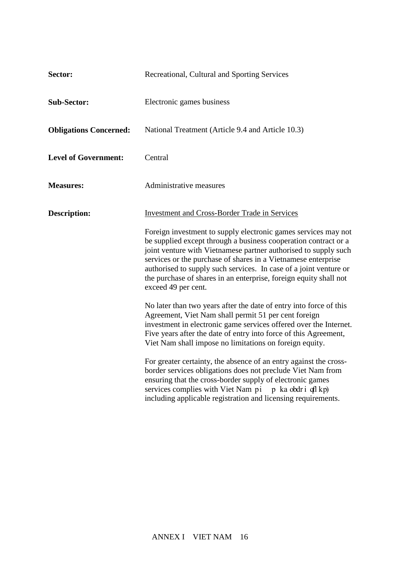| Sector:                       | Recreational, Cultural and Sporting Services                                                                                                                                                                                                                                                                                                                                                                                           |
|-------------------------------|----------------------------------------------------------------------------------------------------------------------------------------------------------------------------------------------------------------------------------------------------------------------------------------------------------------------------------------------------------------------------------------------------------------------------------------|
| <b>Sub-Sector:</b>            | Electronic games business                                                                                                                                                                                                                                                                                                                                                                                                              |
| <b>Obligations Concerned:</b> | National Treatment (Article 9.4 and Article 10.3)                                                                                                                                                                                                                                                                                                                                                                                      |
| <b>Level of Government:</b>   | Central                                                                                                                                                                                                                                                                                                                                                                                                                                |
| <b>Measures:</b>              | Administrative measures                                                                                                                                                                                                                                                                                                                                                                                                                |
| <b>Description:</b>           | <b>Investment and Cross-Border Trade in Services</b>                                                                                                                                                                                                                                                                                                                                                                                   |
|                               | Foreign investment to supply electronic games services may not<br>be supplied except through a business cooperation contract or a<br>joint venture with Vietnamese partner authorised to supply such<br>services or the purchase of shares in a Vietnamese enterprise<br>authorised to supply such services. In case of a joint venture or<br>the purchase of shares in an enterprise, foreign equity shall not<br>exceed 49 per cent. |
|                               | No later than two years after the date of entry into force of this<br>Agreement, Viet Nam shall permit 51 per cent foreign<br>investment in electronic game services offered over the Internet.<br>Five years after the date of entry into force of this Agreement,<br>Viet Nam shall impose no limitations on foreign equity.                                                                                                         |
|                               | For greater certainty, the absence of an entry against the cross-<br>border services obligations does not preclude Viet Nam from<br>ensuring that the cross-border supply of electronic games<br>services complies with Viet Nam pi p ka obdri qfl kp)<br>including applicable registration and licensing requirements.                                                                                                                |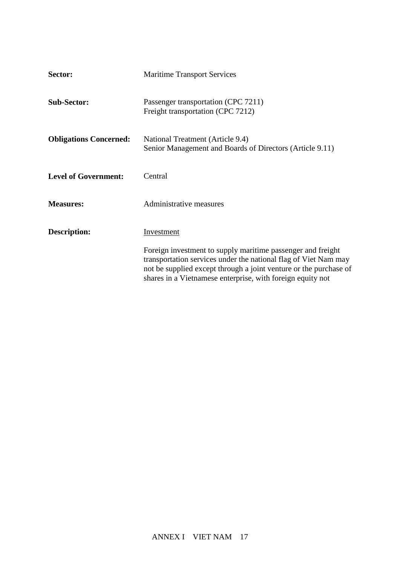| Sector:                       | <b>Maritime Transport Services</b>                                                                                                                                                                                                                                |
|-------------------------------|-------------------------------------------------------------------------------------------------------------------------------------------------------------------------------------------------------------------------------------------------------------------|
| <b>Sub-Sector:</b>            | Passenger transportation (CPC 7211)<br>Freight transportation (CPC 7212)                                                                                                                                                                                          |
| <b>Obligations Concerned:</b> | National Treatment (Article 9.4)<br>Senior Management and Boards of Directors (Article 9.11)                                                                                                                                                                      |
| <b>Level of Government:</b>   | Central                                                                                                                                                                                                                                                           |
| <b>Measures:</b>              | Administrative measures                                                                                                                                                                                                                                           |
| Description:                  | Investment                                                                                                                                                                                                                                                        |
|                               | Foreign investment to supply maritime passenger and freight<br>transportation services under the national flag of Viet Nam may<br>not be supplied except through a joint venture or the purchase of<br>shares in a Vietnamese enterprise, with foreign equity not |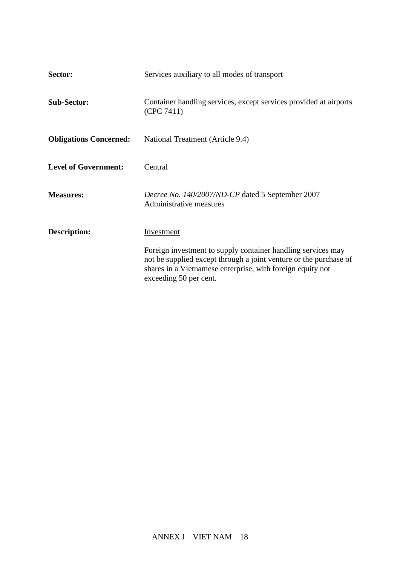| Sector:                       | Services auxiliary to all modes of transport                                                                                                                                                                         |  |
|-------------------------------|----------------------------------------------------------------------------------------------------------------------------------------------------------------------------------------------------------------------|--|
| <b>Sub-Sector:</b>            | Container handling services, except services provided at airports<br>(CPC 7411)                                                                                                                                      |  |
| <b>Obligations Concerned:</b> | National Treatment (Article 9.4)                                                                                                                                                                                     |  |
| <b>Level of Government:</b>   | Central                                                                                                                                                                                                              |  |
| <b>Measures:</b>              | Decree No. 140/2007/ND-CP dated 5 September 2007<br>Administrative measures                                                                                                                                          |  |
| Description:                  | <b>Investment</b><br>Foreign investment to supply container handling services may<br>not be supplied except through a joint venture or the purchase of<br>shares in a Vietnamese enterprise, with foreign equity not |  |
|                               | exceeding 50 per cent.                                                                                                                                                                                               |  |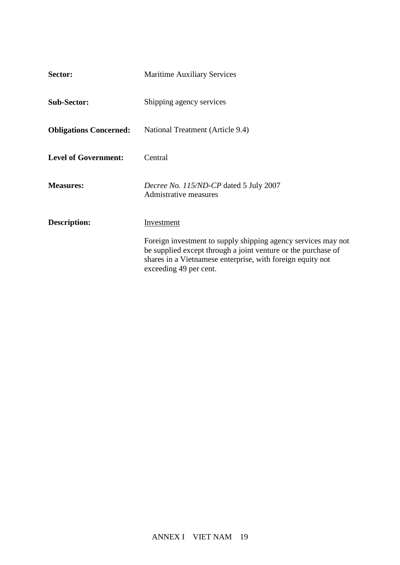| Sector:                       | <b>Maritime Auxiliary Services</b>                                                                                                                                                                         |
|-------------------------------|------------------------------------------------------------------------------------------------------------------------------------------------------------------------------------------------------------|
| <b>Sub-Sector:</b>            | Shipping agency services                                                                                                                                                                                   |
| <b>Obligations Concerned:</b> | National Treatment (Article 9.4)                                                                                                                                                                           |
| <b>Level of Government:</b>   | Central                                                                                                                                                                                                    |
| <b>Measures:</b>              | Decree No. 115/ND-CP dated 5 July 2007<br><b>Admistrative measures</b>                                                                                                                                     |
| Description:                  | Investment<br>Foreign investment to supply shipping agency services may not<br>be supplied except through a joint venture or the purchase of<br>shares in a Vietnamese enterprise, with foreign equity not |
|                               | exceeding 49 per cent.                                                                                                                                                                                     |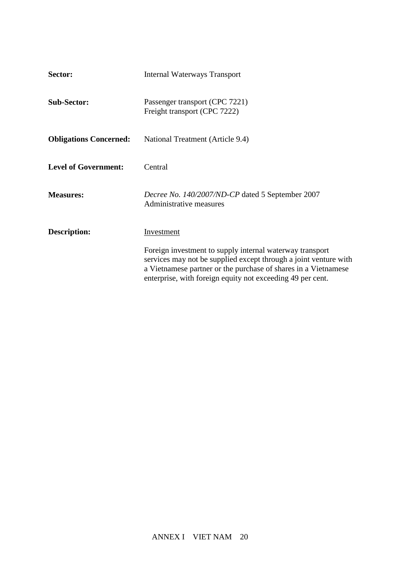| Sector:                       | <b>Internal Waterways Transport</b>                                                                                                                                                                                                                          |
|-------------------------------|--------------------------------------------------------------------------------------------------------------------------------------------------------------------------------------------------------------------------------------------------------------|
| <b>Sub-Sector:</b>            | Passenger transport (CPC 7221)<br>Freight transport (CPC 7222)                                                                                                                                                                                               |
| <b>Obligations Concerned:</b> | National Treatment (Article 9.4)                                                                                                                                                                                                                             |
| <b>Level of Government:</b>   | Central                                                                                                                                                                                                                                                      |
| <b>Measures:</b>              | Decree No. 140/2007/ND-CP dated 5 September 2007<br>Administrative measures                                                                                                                                                                                  |
| Description:                  | <b>Investment</b>                                                                                                                                                                                                                                            |
|                               | Foreign investment to supply internal waterway transport<br>services may not be supplied except through a joint venture with<br>a Vietnamese partner or the purchase of shares in a Vietnamese<br>enterprise, with foreign equity not exceeding 49 per cent. |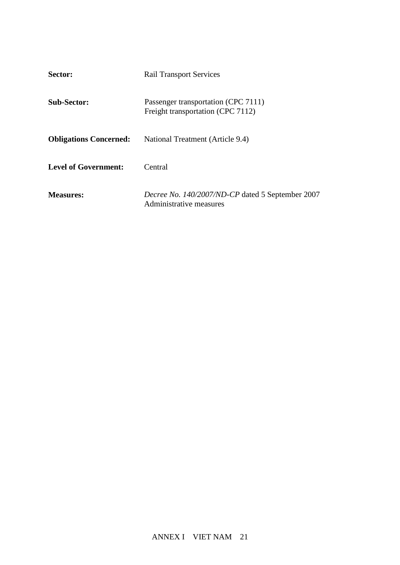| 2 <sub>t</sub><br>Sector:     | <b>Rail Transport Services</b>                                              |
|-------------------------------|-----------------------------------------------------------------------------|
| <b>Sub-Sector:</b>            | Passenger transportation (CPC 7111)<br>Freight transportation (CPC 7112)    |
| <b>Obligations Concerned:</b> | National Treatment (Article 9.4)                                            |
| <b>Level of Government:</b>   | Central                                                                     |
| <b>Measures:</b>              | Decree No. 140/2007/ND-CP dated 5 September 2007<br>Administrative measures |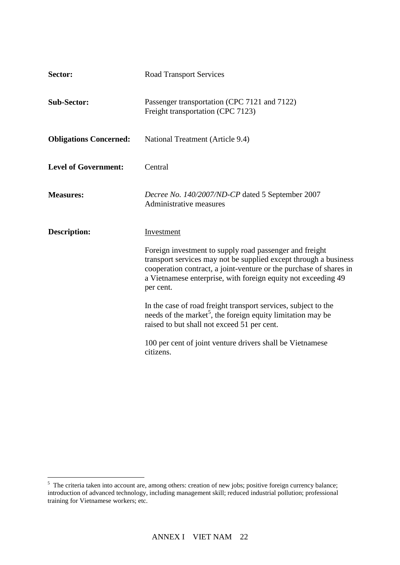| Sector:                       | <b>Road Transport Services</b>                                                                                                                                                                                                                                                  |
|-------------------------------|---------------------------------------------------------------------------------------------------------------------------------------------------------------------------------------------------------------------------------------------------------------------------------|
| <b>Sub-Sector:</b>            | Passenger transportation (CPC 7121 and 7122)<br>Freight transportation (CPC 7123)                                                                                                                                                                                               |
| <b>Obligations Concerned:</b> | National Treatment (Article 9.4)                                                                                                                                                                                                                                                |
| <b>Level of Government:</b>   | Central                                                                                                                                                                                                                                                                         |
| <b>Measures:</b>              | Decree No. 140/2007/ND-CP dated 5 September 2007<br>Administrative measures                                                                                                                                                                                                     |
| <b>Description:</b>           | Investment                                                                                                                                                                                                                                                                      |
|                               | Foreign investment to supply road passenger and freight<br>transport services may not be supplied except through a business<br>cooperation contract, a joint-venture or the purchase of shares in<br>a Vietnamese enterprise, with foreign equity not exceeding 49<br>per cent. |
|                               | In the case of road freight transport services, subject to the<br>needs of the market <sup>5</sup> , the foreign equity limitation may be<br>raised to but shall not exceed 51 per cent.                                                                                        |
|                               | 100 per cent of joint venture drivers shall be Vietnamese<br>citizens.                                                                                                                                                                                                          |

<sup>&</sup>lt;sup>5</sup> The criteria taken into account are, among others: creation of new jobs; positive foreign currency balance; introduction of advanced technology, including management skill; reduced industrial pollution; professional training for Vietnamese workers; etc.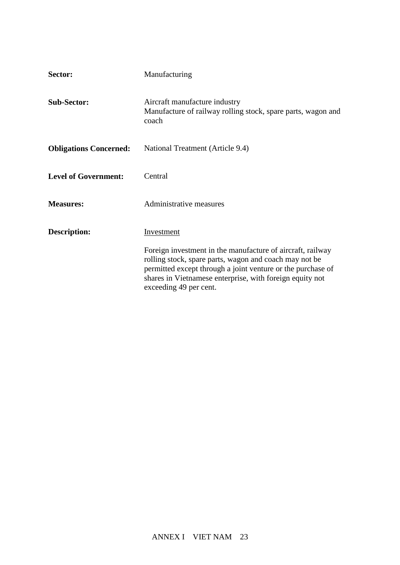| Sector:                       | Manufacturing                                                                                                                                                                                                                                                             |
|-------------------------------|---------------------------------------------------------------------------------------------------------------------------------------------------------------------------------------------------------------------------------------------------------------------------|
| <b>Sub-Sector:</b>            | Aircraft manufacture industry<br>Manufacture of railway rolling stock, spare parts, wagon and<br>coach                                                                                                                                                                    |
| <b>Obligations Concerned:</b> | National Treatment (Article 9.4)                                                                                                                                                                                                                                          |
| <b>Level of Government:</b>   | Central                                                                                                                                                                                                                                                                   |
| <b>Measures:</b>              | Administrative measures                                                                                                                                                                                                                                                   |
| <b>Description:</b>           | Investment                                                                                                                                                                                                                                                                |
|                               | Foreign investment in the manufacture of aircraft, railway<br>rolling stock, spare parts, wagon and coach may not be<br>permitted except through a joint venture or the purchase of<br>shares in Vietnamese enterprise, with foreign equity not<br>exceeding 49 per cent. |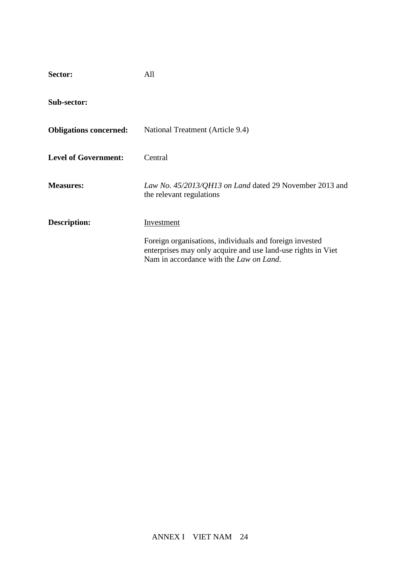| Sector:                       | All                                                                                                                                                                        |
|-------------------------------|----------------------------------------------------------------------------------------------------------------------------------------------------------------------------|
| Sub-sector:                   |                                                                                                                                                                            |
| <b>Obligations concerned:</b> | National Treatment (Article 9.4)                                                                                                                                           |
| <b>Level of Government:</b>   | Central                                                                                                                                                                    |
| <b>Measures:</b>              | Law No. 45/2013/QH13 on Land dated 29 November 2013 and<br>the relevant regulations                                                                                        |
| <b>Description:</b>           | Investment                                                                                                                                                                 |
|                               | Foreign organisations, individuals and foreign invested<br>enterprises may only acquire and use land-use rights in Viet<br>Nam in accordance with the <i>Law on Land</i> . |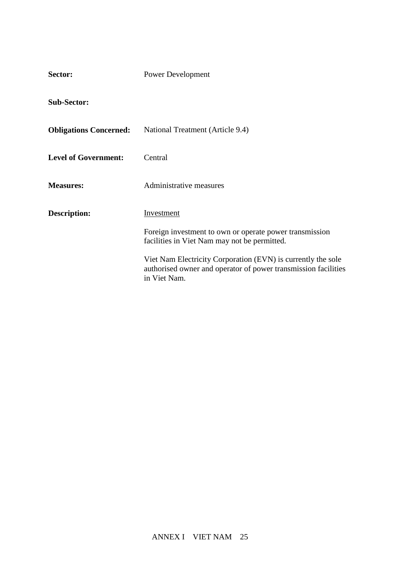| Sector:                       | <b>Power Development</b>                                                                                                                       |  |
|-------------------------------|------------------------------------------------------------------------------------------------------------------------------------------------|--|
| <b>Sub-Sector:</b>            |                                                                                                                                                |  |
| <b>Obligations Concerned:</b> | National Treatment (Article 9.4)                                                                                                               |  |
| <b>Level of Government:</b>   | Central                                                                                                                                        |  |
| <b>Measures:</b>              | Administrative measures                                                                                                                        |  |
| <b>Description:</b>           | Investment                                                                                                                                     |  |
|                               | Foreign investment to own or operate power transmission<br>facilities in Viet Nam may not be permitted.                                        |  |
|                               | Viet Nam Electricity Corporation (EVN) is currently the sole<br>authorised owner and operator of power transmission facilities<br>in Viet Nam. |  |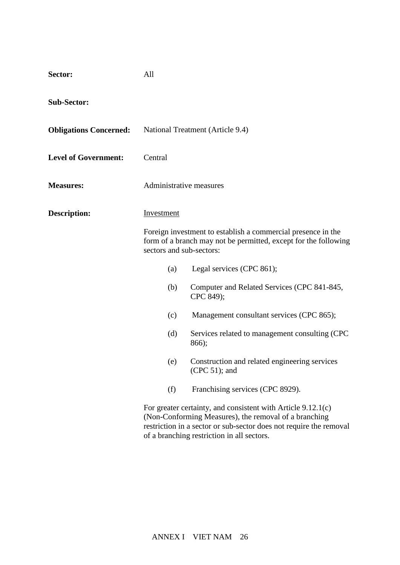| Sector:                       | All                                                                                                                                                                                             |                                                                                                                                                                                               |
|-------------------------------|-------------------------------------------------------------------------------------------------------------------------------------------------------------------------------------------------|-----------------------------------------------------------------------------------------------------------------------------------------------------------------------------------------------|
| <b>Sub-Sector:</b>            |                                                                                                                                                                                                 |                                                                                                                                                                                               |
| <b>Obligations Concerned:</b> |                                                                                                                                                                                                 | National Treatment (Article 9.4)                                                                                                                                                              |
| <b>Level of Government:</b>   | Central                                                                                                                                                                                         |                                                                                                                                                                                               |
| <b>Measures:</b>              | Administrative measures                                                                                                                                                                         |                                                                                                                                                                                               |
| <b>Description:</b>           | <b>Investment</b>                                                                                                                                                                               |                                                                                                                                                                                               |
|                               | Foreign investment to establish a commercial presence in the<br>form of a branch may not be permitted, except for the following<br>sectors and sub-sectors:<br>Legal services (CPC 861);<br>(a) |                                                                                                                                                                                               |
|                               |                                                                                                                                                                                                 |                                                                                                                                                                                               |
|                               | (b)                                                                                                                                                                                             | Computer and Related Services (CPC 841-845,<br>CPC 849);                                                                                                                                      |
|                               | (c)                                                                                                                                                                                             | Management consultant services (CPC 865);                                                                                                                                                     |
|                               | (d)                                                                                                                                                                                             | Services related to management consulting (CPC<br>866);                                                                                                                                       |
|                               | (e)                                                                                                                                                                                             | Construction and related engineering services<br>$(CPC 51)$ ; and                                                                                                                             |
|                               | (f)                                                                                                                                                                                             | Franchising services (CPC 8929).                                                                                                                                                              |
|                               |                                                                                                                                                                                                 | For greater certainty, and consistent with Article $9.12.1(c)$<br>(Non-Conforming Measures), the removal of a branching<br>restriction in a sector or sub-sector does not require the removal |

of a branching restriction in all sectors.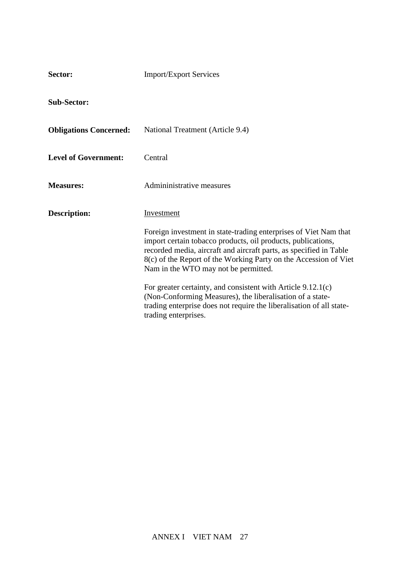| Sector:                       | <b>Import/Export Services</b>                                                                                                                                                                                                                                                                                      |  |
|-------------------------------|--------------------------------------------------------------------------------------------------------------------------------------------------------------------------------------------------------------------------------------------------------------------------------------------------------------------|--|
| <b>Sub-Sector:</b>            |                                                                                                                                                                                                                                                                                                                    |  |
| <b>Obligations Concerned:</b> | National Treatment (Article 9.4)                                                                                                                                                                                                                                                                                   |  |
| <b>Level of Government:</b>   | Central                                                                                                                                                                                                                                                                                                            |  |
| <b>Measures:</b>              | Admininistrative measures                                                                                                                                                                                                                                                                                          |  |
| Description:                  | Investment                                                                                                                                                                                                                                                                                                         |  |
|                               | Foreign investment in state-trading enterprises of Viet Nam that<br>import certain tobacco products, oil products, publications,<br>recorded media, aircraft and aircraft parts, as specified in Table<br>8(c) of the Report of the Working Party on the Accession of Viet<br>Nam in the WTO may not be permitted. |  |
|                               | For greater certainty, and consistent with Article 9.12.1(c)<br>(Non-Conforming Measures), the liberalisation of a state-<br>trading enterprise does not require the liberalisation of all state-<br>trading enterprises.                                                                                          |  |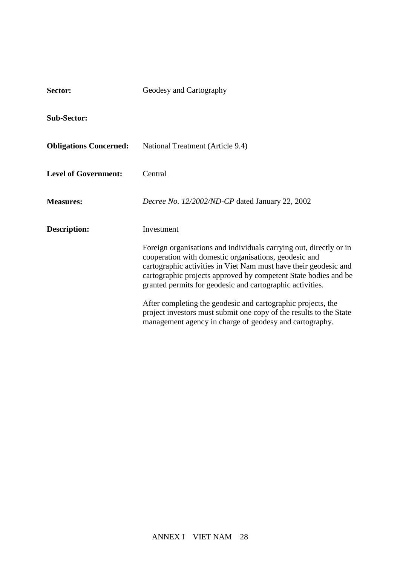| Sector:                       | Geodesy and Cartography                                                                                                                                                                                                                                                                                                         |  |
|-------------------------------|---------------------------------------------------------------------------------------------------------------------------------------------------------------------------------------------------------------------------------------------------------------------------------------------------------------------------------|--|
| <b>Sub-Sector:</b>            |                                                                                                                                                                                                                                                                                                                                 |  |
| <b>Obligations Concerned:</b> | National Treatment (Article 9.4)                                                                                                                                                                                                                                                                                                |  |
| <b>Level of Government:</b>   | Central                                                                                                                                                                                                                                                                                                                         |  |
| <b>Measures:</b>              | Decree No. 12/2002/ND-CP dated January 22, 2002                                                                                                                                                                                                                                                                                 |  |
| <b>Description:</b>           | Investment                                                                                                                                                                                                                                                                                                                      |  |
|                               | Foreign organisations and individuals carrying out, directly or in<br>cooperation with domestic organisations, geodesic and<br>cartographic activities in Viet Nam must have their geodesic and<br>cartographic projects approved by competent State bodies and be<br>granted permits for geodesic and cartographic activities. |  |
|                               | After completing the geodesic and cartographic projects, the<br>project investors must submit one copy of the results to the State<br>management agency in charge of geodesy and cartography.                                                                                                                                   |  |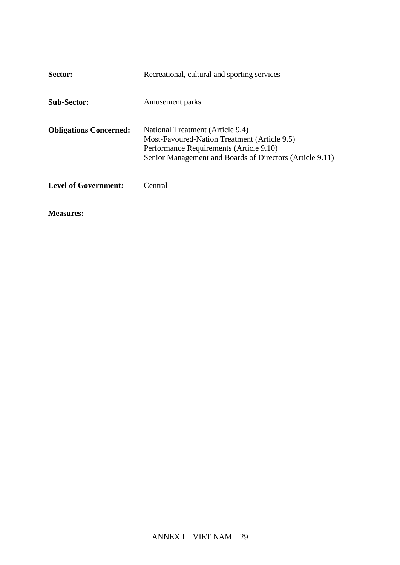| Sector:                       | Recreational, cultural and sporting services                                                                                                                                            |
|-------------------------------|-----------------------------------------------------------------------------------------------------------------------------------------------------------------------------------------|
| <b>Sub-Sector:</b>            | Amusement parks                                                                                                                                                                         |
| <b>Obligations Concerned:</b> | National Treatment (Article 9.4)<br>Most-Favoured-Nation Treatment (Article 9.5)<br>Performance Requirements (Article 9.10)<br>Senior Management and Boards of Directors (Article 9.11) |
| <b>Level of Government:</b>   | Central                                                                                                                                                                                 |

**Measures:**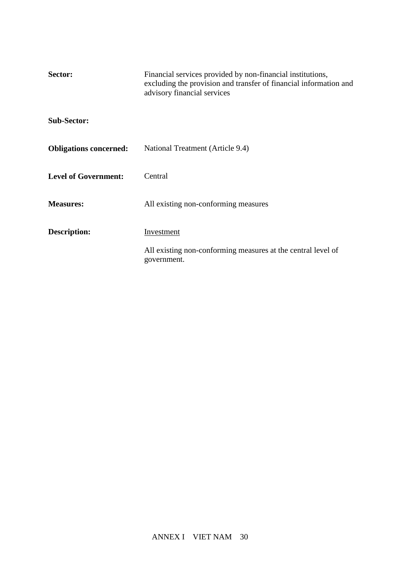| Sector:                       | Financial services provided by non-financial institutions,<br>excluding the provision and transfer of financial information and<br>advisory financial services |  |
|-------------------------------|----------------------------------------------------------------------------------------------------------------------------------------------------------------|--|
| <b>Sub-Sector:</b>            |                                                                                                                                                                |  |
| <b>Obligations concerned:</b> | National Treatment (Article 9.4)                                                                                                                               |  |
| <b>Level of Government:</b>   | Central                                                                                                                                                        |  |
| <b>Measures:</b>              | All existing non-conforming measures                                                                                                                           |  |
| Description:                  | Investment                                                                                                                                                     |  |
|                               | All existing non-conforming measures at the central level of<br>government.                                                                                    |  |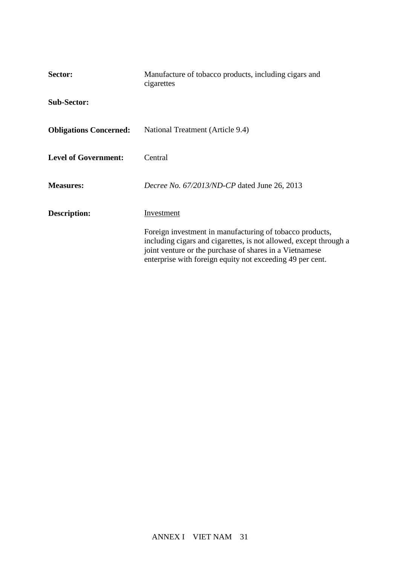| Sector:                       | Manufacture of tobacco products, including cigars and<br>cigarettes                                                                                                                                                                                   |  |
|-------------------------------|-------------------------------------------------------------------------------------------------------------------------------------------------------------------------------------------------------------------------------------------------------|--|
| <b>Sub-Sector:</b>            |                                                                                                                                                                                                                                                       |  |
| <b>Obligations Concerned:</b> | National Treatment (Article 9.4)                                                                                                                                                                                                                      |  |
| <b>Level of Government:</b>   | Central                                                                                                                                                                                                                                               |  |
| <b>Measures:</b>              | Decree No. 67/2013/ND-CP dated June 26, 2013                                                                                                                                                                                                          |  |
| Description:                  | Investment                                                                                                                                                                                                                                            |  |
|                               | Foreign investment in manufacturing of tobacco products,<br>including cigars and cigarettes, is not allowed, except through a<br>joint venture or the purchase of shares in a Vietnamese<br>enterprise with foreign equity not exceeding 49 per cent. |  |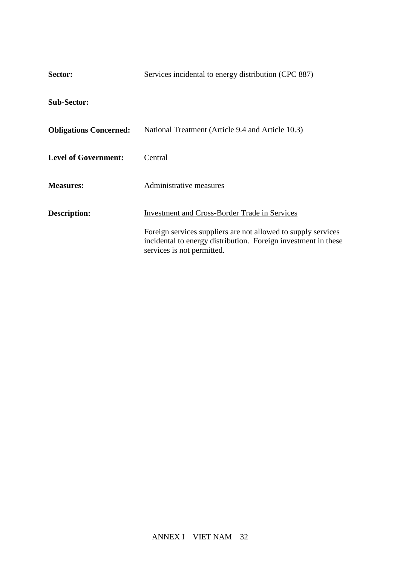| Sector:                       | Services incidental to energy distribution (CPC 887)                                                                                                          |  |  |
|-------------------------------|---------------------------------------------------------------------------------------------------------------------------------------------------------------|--|--|
| <b>Sub-Sector:</b>            |                                                                                                                                                               |  |  |
| <b>Obligations Concerned:</b> | National Treatment (Article 9.4 and Article 10.3)                                                                                                             |  |  |
| <b>Level of Government:</b>   | Central                                                                                                                                                       |  |  |
| <b>Measures:</b>              | Administrative measures                                                                                                                                       |  |  |
| Description:                  | <b>Investment and Cross-Border Trade in Services</b>                                                                                                          |  |  |
|                               | Foreign services suppliers are not allowed to supply services<br>incidental to energy distribution. Foreign investment in these<br>services is not permitted. |  |  |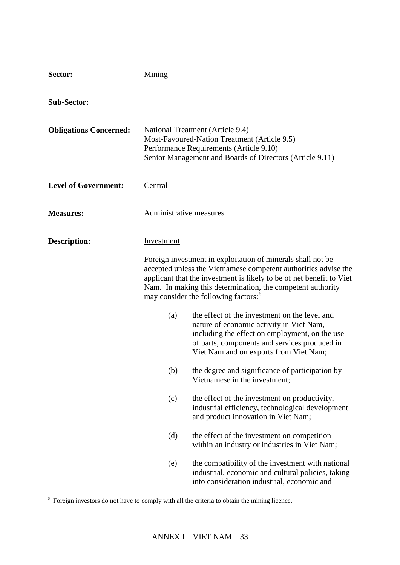| Sector:                       | Mining                                                                                                                                                                                                                                                                                                                                 |                                                                                                                                                                                                                                        |
|-------------------------------|----------------------------------------------------------------------------------------------------------------------------------------------------------------------------------------------------------------------------------------------------------------------------------------------------------------------------------------|----------------------------------------------------------------------------------------------------------------------------------------------------------------------------------------------------------------------------------------|
| <b>Sub-Sector:</b>            |                                                                                                                                                                                                                                                                                                                                        |                                                                                                                                                                                                                                        |
| <b>Obligations Concerned:</b> | National Treatment (Article 9.4)<br>Most-Favoured-Nation Treatment (Article 9.5)<br>Performance Requirements (Article 9.10)<br>Senior Management and Boards of Directors (Article 9.11)                                                                                                                                                |                                                                                                                                                                                                                                        |
| <b>Level of Government:</b>   | Central                                                                                                                                                                                                                                                                                                                                |                                                                                                                                                                                                                                        |
| <b>Measures:</b>              | Administrative measures                                                                                                                                                                                                                                                                                                                |                                                                                                                                                                                                                                        |
| <b>Description:</b>           | Investment<br>Foreign investment in exploitation of minerals shall not be<br>accepted unless the Vietnamese competent authorities advise the<br>applicant that the investment is likely to be of net benefit to Viet<br>Nam. In making this determination, the competent authority<br>may consider the following factors: <sup>6</sup> |                                                                                                                                                                                                                                        |
|                               | (a)                                                                                                                                                                                                                                                                                                                                    | the effect of the investment on the level and<br>nature of economic activity in Viet Nam,<br>including the effect on employment, on the use<br>of parts, components and services produced in<br>Viet Nam and on exports from Viet Nam; |
|                               | (b)                                                                                                                                                                                                                                                                                                                                    | the degree and significance of participation by<br>Vietnamese in the investment;                                                                                                                                                       |
|                               | (c)                                                                                                                                                                                                                                                                                                                                    | the effect of the investment on productivity,<br>industrial efficiency, technological development<br>and product innovation in Viet Nam;                                                                                               |
|                               | (d)                                                                                                                                                                                                                                                                                                                                    | the effect of the investment on competition<br>within an industry or industries in Viet Nam;                                                                                                                                           |
|                               | (e)                                                                                                                                                                                                                                                                                                                                    | the compatibility of the investment with national<br>industrial, economic and cultural policies, taking<br>into consideration industrial, economic and                                                                                 |

 6 Foreign investors do not have to comply with all the criteria to obtain the mining licence.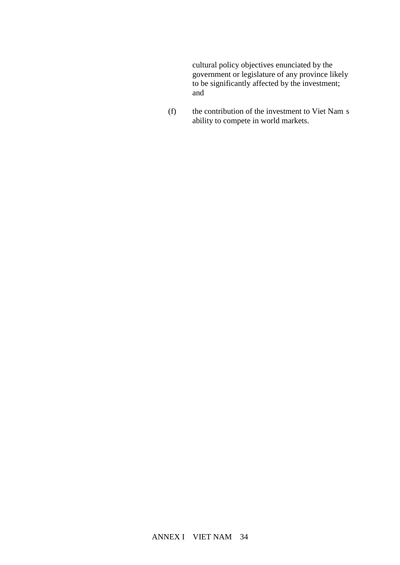cultural policy objectives enunciated by the government or legislature of any province likely to be significantly affected by the investment; and

(f) the contribution of the investment to Viet Nam s ability to compete in world markets.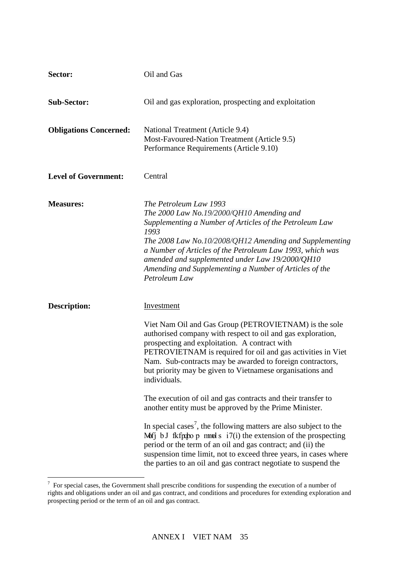| Sector:                       | Oil and Gas                                                                                                                                                                                                                                                                                                                                                                                                                                                                                                                                                                                                                                                                                                                                                                                                                                                                         |  |
|-------------------------------|-------------------------------------------------------------------------------------------------------------------------------------------------------------------------------------------------------------------------------------------------------------------------------------------------------------------------------------------------------------------------------------------------------------------------------------------------------------------------------------------------------------------------------------------------------------------------------------------------------------------------------------------------------------------------------------------------------------------------------------------------------------------------------------------------------------------------------------------------------------------------------------|--|
| <b>Sub-Sector:</b>            | Oil and gas exploration, prospecting and exploitation                                                                                                                                                                                                                                                                                                                                                                                                                                                                                                                                                                                                                                                                                                                                                                                                                               |  |
| <b>Obligations Concerned:</b> | National Treatment (Article 9.4)<br>Most-Favoured-Nation Treatment (Article 9.5)<br>Performance Requirements (Article 9.10)                                                                                                                                                                                                                                                                                                                                                                                                                                                                                                                                                                                                                                                                                                                                                         |  |
| <b>Level of Government:</b>   | Central                                                                                                                                                                                                                                                                                                                                                                                                                                                                                                                                                                                                                                                                                                                                                                                                                                                                             |  |
| <b>Measures:</b>              | The Petroleum Law 1993<br>The 2000 Law No.19/2000/QH10 Amending and<br>Supplementing a Number of Articles of the Petroleum Law<br>1993<br>The 2008 Law No.10/2008/QH12 Amending and Supplementing<br>a Number of Articles of the Petroleum Law 1993, which was<br>amended and supplemented under Law 19/2000/QH10<br>Amending and Supplementing a Number of Articles of the<br>Petroleum Law                                                                                                                                                                                                                                                                                                                                                                                                                                                                                        |  |
| <b>Description:</b>           | Investment<br>Viet Nam Oil and Gas Group (PETROVIETNAM) is the sole<br>authorised company with respect to oil and gas exploration,<br>prospecting and exploitation. A contract with<br>PETROVIETNAM is required for oil and gas activities in Viet<br>Nam. Sub-contracts may be awarded to foreign contractors,<br>but priority may be given to Vietnamese organisations and<br>individuals.<br>The execution of oil and gas contracts and their transfer to<br>another entity must be approved by the Prime Minister.<br>In special cases <sup>7</sup> , the following matters are also subject to the<br>Mofj b J fkfppo $p$ mmols $i7(i)$ the extension of the prospecting<br>period or the term of an oil and gas contract; and (ii) the<br>suspension time limit, not to exceed three years, in cases where<br>the parties to an oil and gas contract negotiate to suspend the |  |

<sup>&</sup>lt;sup>7</sup> For special cases, the Government shall prescribe conditions for suspending the execution of a number of rights and obligations under an oil and gas contract, and conditions and procedures for extending exploration and prospecting period or the term of an oil and gas contract.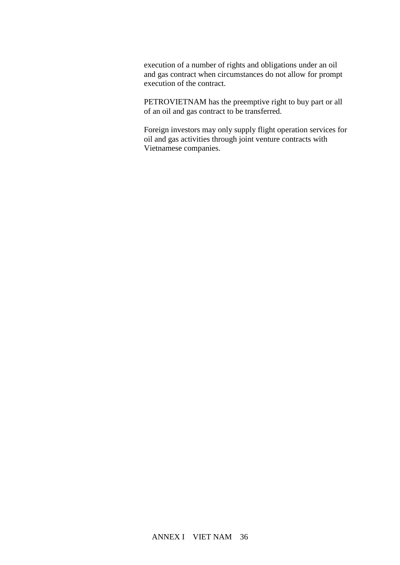execution of a number of rights and obligations under an oil and gas contract when circumstances do not allow for prompt execution of the contract.

PETROVIETNAM has the preemptive right to buy part or all of an oil and gas contract to be transferred.

Foreign investors may only supply flight operation services for oil and gas activities through joint venture contracts with Vietnamese companies.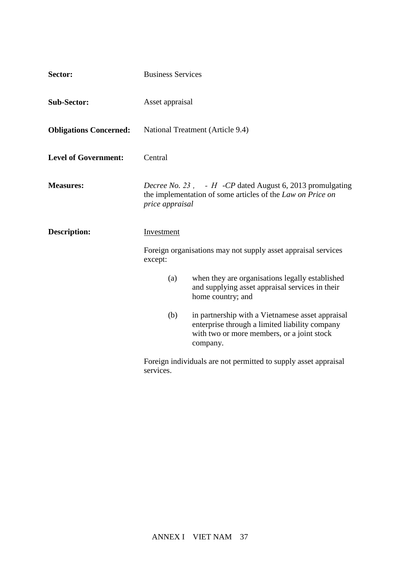| Sector:                       | <b>Business Services</b>                                                                                                                                            |  |  |
|-------------------------------|---------------------------------------------------------------------------------------------------------------------------------------------------------------------|--|--|
| <b>Sub-Sector:</b>            | Asset appraisal                                                                                                                                                     |  |  |
| <b>Obligations Concerned:</b> | National Treatment (Article 9.4)                                                                                                                                    |  |  |
| <b>Level of Government:</b>   | Central                                                                                                                                                             |  |  |
| <b>Measures:</b>              | <i>Decree No. 23</i> , $-H$ - <i>CP</i> dated August 6, 2013 promulgating<br>the implementation of some articles of the Law on Price on<br>price appraisal          |  |  |
| <b>Description:</b>           | Investment<br>Foreign organisations may not supply asset appraisal services<br>except:                                                                              |  |  |
|                               | when they are organisations legally established<br>(a)<br>and supplying asset appraisal services in their<br>home country; and                                      |  |  |
|                               | (b)<br>in partnership with a Vietnamese asset appraisal<br>enterprise through a limited liability company<br>with two or more members, or a joint stock<br>company. |  |  |
|                               | Foreign individuals are not permitted to supply asset appraisal<br>services.                                                                                        |  |  |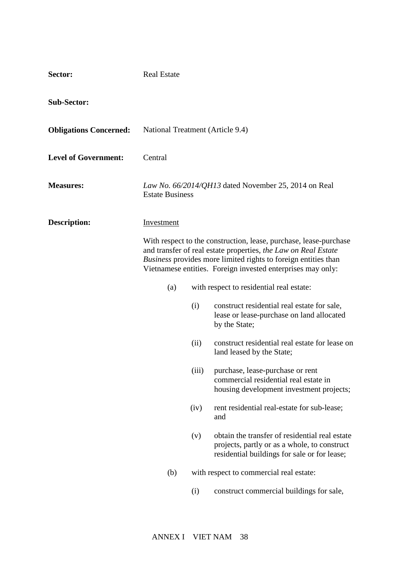| Sector:                       | <b>Real Estate</b>               |       |                                                                                                                                                                                                                                                                             |
|-------------------------------|----------------------------------|-------|-----------------------------------------------------------------------------------------------------------------------------------------------------------------------------------------------------------------------------------------------------------------------------|
| <b>Sub-Sector:</b>            |                                  |       |                                                                                                                                                                                                                                                                             |
| <b>Obligations Concerned:</b> | National Treatment (Article 9.4) |       |                                                                                                                                                                                                                                                                             |
| <b>Level of Government:</b>   | Central                          |       |                                                                                                                                                                                                                                                                             |
| <b>Measures:</b>              | <b>Estate Business</b>           |       | Law No. 66/2014/QH13 dated November 25, 2014 on Real                                                                                                                                                                                                                        |
| <b>Description:</b>           | <b>Investment</b>                |       |                                                                                                                                                                                                                                                                             |
|                               |                                  |       | With respect to the construction, lease, purchase, lease-purchase<br>and transfer of real estate properties, the Law on Real Estate<br><i>Business</i> provides more limited rights to foreign entities than<br>Vietnamese entities. Foreign invested enterprises may only: |
|                               | (a)                              |       | with respect to residential real estate:                                                                                                                                                                                                                                    |
|                               |                                  | (i)   | construct residential real estate for sale,<br>lease or lease-purchase on land allocated<br>by the State;                                                                                                                                                                   |
|                               |                                  | (ii)  | construct residential real estate for lease on<br>land leased by the State;                                                                                                                                                                                                 |
|                               |                                  | (iii) | purchase, lease-purchase or rent<br>commercial residential real estate in<br>housing development investment projects;                                                                                                                                                       |
|                               |                                  | (iv)  | rent residential real-estate for sub-lease;<br>and                                                                                                                                                                                                                          |
|                               |                                  | (v)   | obtain the transfer of residential real estate<br>projects, partly or as a whole, to construct<br>residential buildings for sale or for lease;                                                                                                                              |
|                               | (b)                              |       | with respect to commercial real estate:                                                                                                                                                                                                                                     |
|                               |                                  | (i)   | construct commercial buildings for sale,                                                                                                                                                                                                                                    |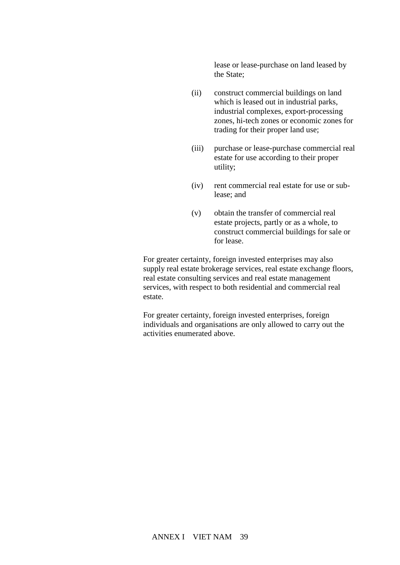lease or lease-purchase on land leased by the State;

- (ii) construct commercial buildings on land which is leased out in industrial parks, industrial complexes, export-processing zones, hi-tech zones or economic zones for trading for their proper land use;
- (iii) purchase or lease-purchase commercial real estate for use according to their proper utility;
- (iv) rent commercial real estate for use or sublease; and
- (v) obtain the transfer of commercial real estate projects, partly or as a whole, to construct commercial buildings for sale or for lease.

For greater certainty, foreign invested enterprises may also supply real estate brokerage services, real estate exchange floors, real estate consulting services and real estate management services, with respect to both residential and commercial real estate.

For greater certainty, foreign invested enterprises, foreign individuals and organisations are only allowed to carry out the activities enumerated above.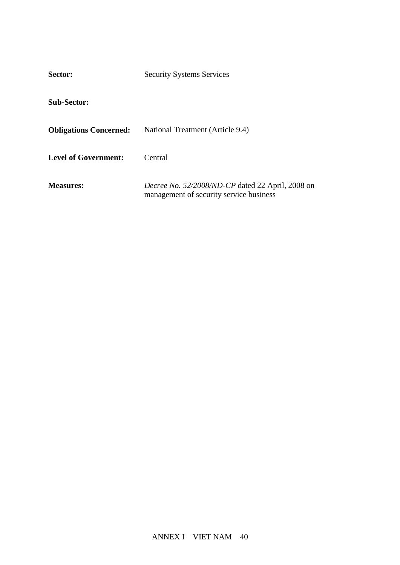| Sector:                       | <b>Security Systems Services</b>                                                            |  |
|-------------------------------|---------------------------------------------------------------------------------------------|--|
| <b>Sub-Sector:</b>            |                                                                                             |  |
| <b>Obligations Concerned:</b> | National Treatment (Article 9.4)                                                            |  |
| <b>Level of Government:</b>   | Central                                                                                     |  |
| <b>Measures:</b>              | Decree No. 52/2008/ND-CP dated 22 April, 2008 on<br>management of security service business |  |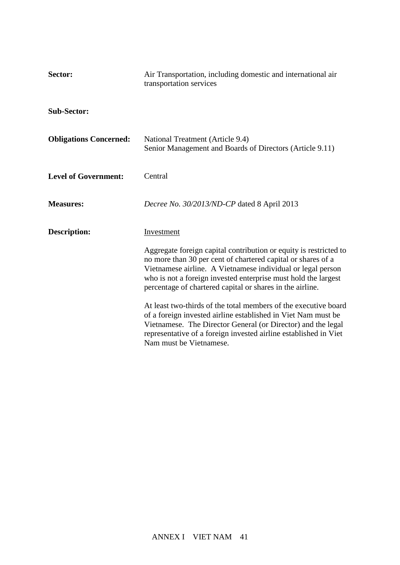| Sector:                       | Air Transportation, including domestic and international air<br>transportation services                                                                                                                                                                                                                                                                                                                                                                                           |  |
|-------------------------------|-----------------------------------------------------------------------------------------------------------------------------------------------------------------------------------------------------------------------------------------------------------------------------------------------------------------------------------------------------------------------------------------------------------------------------------------------------------------------------------|--|
| <b>Sub-Sector:</b>            |                                                                                                                                                                                                                                                                                                                                                                                                                                                                                   |  |
| <b>Obligations Concerned:</b> | National Treatment (Article 9.4)<br>Senior Management and Boards of Directors (Article 9.11)                                                                                                                                                                                                                                                                                                                                                                                      |  |
| <b>Level of Government:</b>   | Central                                                                                                                                                                                                                                                                                                                                                                                                                                                                           |  |
| <b>Measures:</b>              | Decree No. 30/2013/ND-CP dated 8 April 2013                                                                                                                                                                                                                                                                                                                                                                                                                                       |  |
| <b>Description:</b>           | Investment<br>Aggregate foreign capital contribution or equity is restricted to<br>no more than 30 per cent of chartered capital or shares of a<br>Vietnamese airline. A Vietnamese individual or legal person<br>who is not a foreign invested enterprise must hold the largest<br>percentage of chartered capital or shares in the airline.<br>At least two-thirds of the total members of the executive board<br>of a foreign invested airline established in Viet Nam must be |  |
|                               | Vietnamese. The Director General (or Director) and the legal<br>representative of a foreign invested airline established in Viet<br>Nam must be Vietnamese.                                                                                                                                                                                                                                                                                                                       |  |